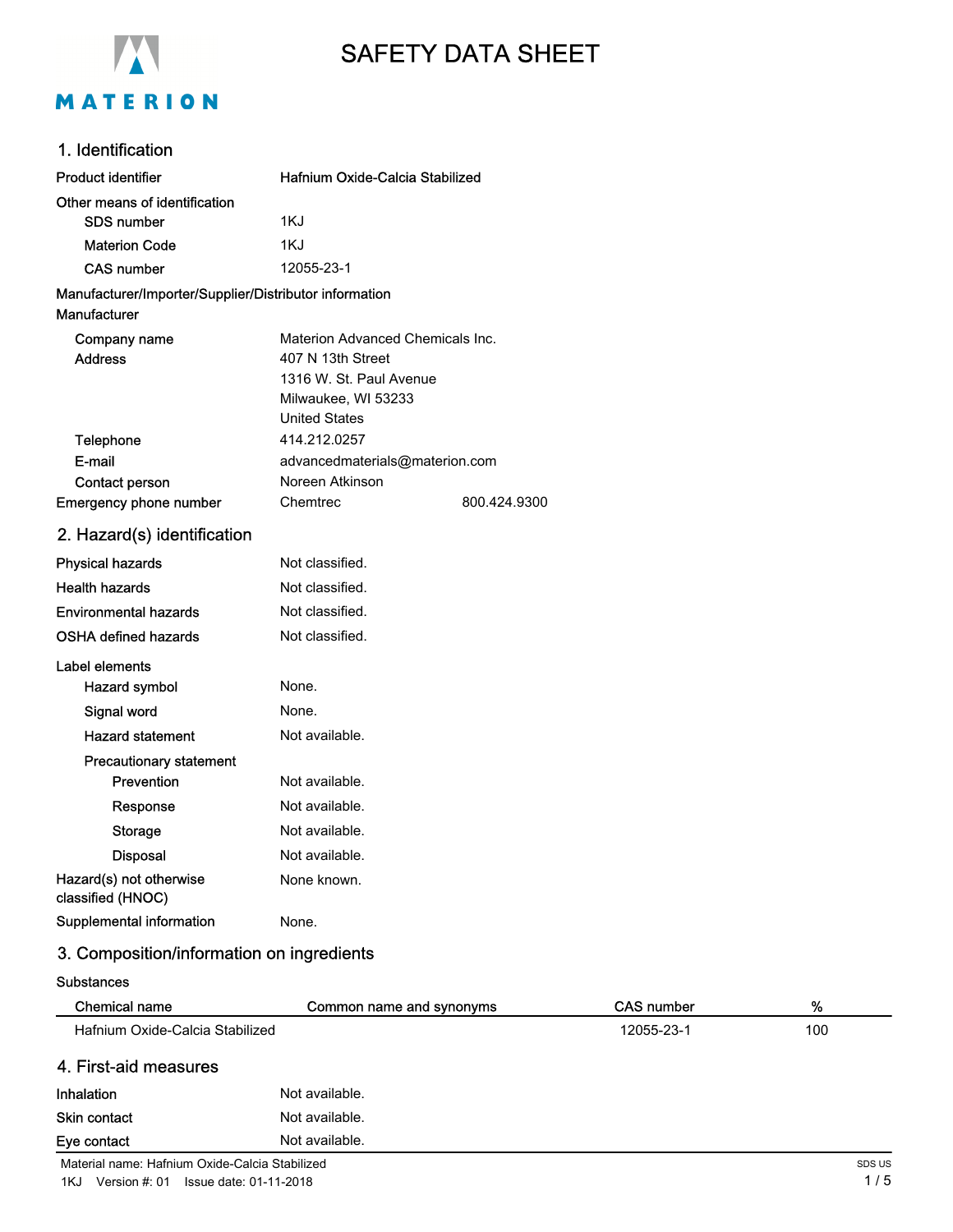

# SAFETY DATA SHEET

### 1. Identification

| <b>Product identifier</b>                              | Hafnium Oxide-Calcia Stabilized      |              |
|--------------------------------------------------------|--------------------------------------|--------------|
| Other means of identification                          |                                      |              |
| <b>SDS number</b>                                      | 1KJ                                  |              |
| <b>Materion Code</b>                                   | 1KJ                                  |              |
| <b>CAS number</b>                                      | 12055-23-1                           |              |
| Manufacturer/Importer/Supplier/Distributor information |                                      |              |
| Manufacturer                                           |                                      |              |
| Company name                                           | Materion Advanced Chemicals Inc.     |              |
| <b>Address</b>                                         | 407 N 13th Street                    |              |
|                                                        | 1316 W. St. Paul Avenue              |              |
|                                                        | Milwaukee, WI 53233                  |              |
|                                                        | <b>United States</b><br>414.212.0257 |              |
| Telephone<br>E-mail                                    | advancedmaterials@materion.com       |              |
| <b>Contact person</b>                                  | Noreen Atkinson                      |              |
| Emergency phone number                                 | Chemtrec                             | 800.424.9300 |
|                                                        |                                      |              |
| 2. Hazard(s) identification                            |                                      |              |
| <b>Physical hazards</b>                                | Not classified.                      |              |
| <b>Health hazards</b>                                  | Not classified.                      |              |
| <b>Environmental hazards</b>                           | Not classified.                      |              |
| OSHA defined hazards                                   | Not classified.                      |              |
| Label elements                                         |                                      |              |
| <b>Hazard symbol</b>                                   | None.                                |              |
| Signal word                                            | None.                                |              |
| <b>Hazard statement</b>                                | Not available.                       |              |
| <b>Precautionary statement</b>                         |                                      |              |
| Prevention                                             | Not available.                       |              |
| Response                                               | Not available.                       |              |
| <b>Storage</b>                                         | Not available.                       |              |
| <b>Disposal</b>                                        | Not available.                       |              |
| Hazard(s) not otherwise<br>classified (HNOC)           | None known.                          |              |
| Supplemental information                               | None.                                |              |

### 3. Composition/information on ingredients

#### Substances

| <b>Chemical name</b>                           | Common name and synonyms | <b>CAS number</b> | %      |
|------------------------------------------------|--------------------------|-------------------|--------|
| Hafnium Oxide-Calcia Stabilized                |                          | 12055-23-1        | 100    |
| 4. First-aid measures                          |                          |                   |        |
| <b>Inhalation</b>                              | Not available.           |                   |        |
| <b>Skin contact</b>                            | Not available.           |                   |        |
| Eye contact                                    | Not available.           |                   |        |
| Material name: Hafnium Oxide-Calcia Stabilized |                          |                   | SDS US |

1KJ Version #: 01 Issue date: 01-11-2018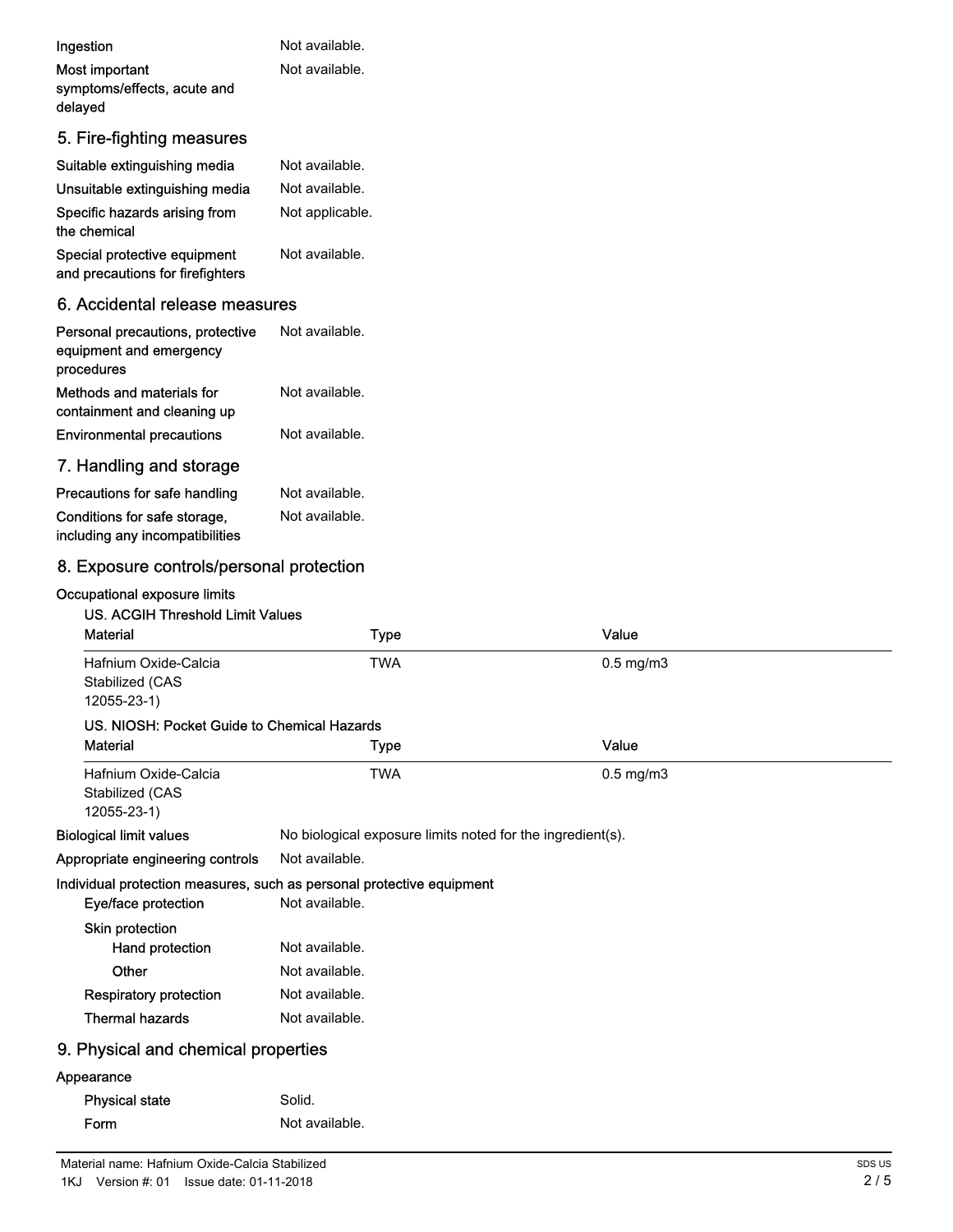| Ingestion                                                                 | Not available.  |
|---------------------------------------------------------------------------|-----------------|
| Most important                                                            | Not available.  |
| symptoms/effects, acute and                                               |                 |
| delayed                                                                   |                 |
| 5. Fire-fighting measures                                                 |                 |
| Suitable extinguishing media                                              | Not available.  |
| Unsuitable extinguishing media                                            | Not available.  |
| Specific hazards arising from<br>the chemical                             | Not applicable. |
| Special protective equipment<br>and precautions for firefighters          | Not available.  |
|                                                                           |                 |
| 6. Accidental release measures                                            |                 |
| Personal precautions, protective<br>equipment and emergency<br>procedures | Not available.  |
| Methods and materials for<br>containment and cleaning up                  | Not available.  |
| <b>Environmental precautions</b>                                          | Not available.  |
| 7. Handling and storage                                                   |                 |
| Precautions for safe handling                                             | Not available.  |
| Conditions for safe storage,<br>including any incompatibilities           | Not available.  |

## 8. Exposure controls/personal protection

### Occupational exposure limits

| <b>US. ACGIH Threshold Limit Values</b><br><b>Material</b>                                   | Type                                                       | Value          |  |
|----------------------------------------------------------------------------------------------|------------------------------------------------------------|----------------|--|
| Hafnium Oxide-Calcia<br>Stabilized (CAS<br>12055-23-1)                                       | <b>TWA</b>                                                 | $0.5$ mg/m $3$ |  |
| US. NIOSH: Pocket Guide to Chemical Hazards                                                  |                                                            |                |  |
| <b>Material</b>                                                                              | Type                                                       | Value          |  |
| Hafnium Oxide-Calcia<br>Stabilized (CAS<br>12055-23-1)                                       | TWA                                                        | $0.5$ mg/m $3$ |  |
| <b>Biological limit values</b>                                                               | No biological exposure limits noted for the ingredient(s). |                |  |
| Appropriate engineering controls                                                             | Not available.                                             |                |  |
| Individual protection measures, such as personal protective equipment<br>Eye/face protection | Not available.                                             |                |  |
| Skin protection<br>Hand protection<br>Other                                                  | Not available.<br>Not available.                           |                |  |
| <b>Respiratory protection</b>                                                                | Not available.                                             |                |  |
| <b>Thermal hazards</b>                                                                       | Not available.                                             |                |  |
| 9. Physical and chemical properties                                                          |                                                            |                |  |
| Appearance                                                                                   |                                                            |                |  |
| <b>Physical state</b>                                                                        | Solid.                                                     |                |  |
| Form                                                                                         | Not available.                                             |                |  |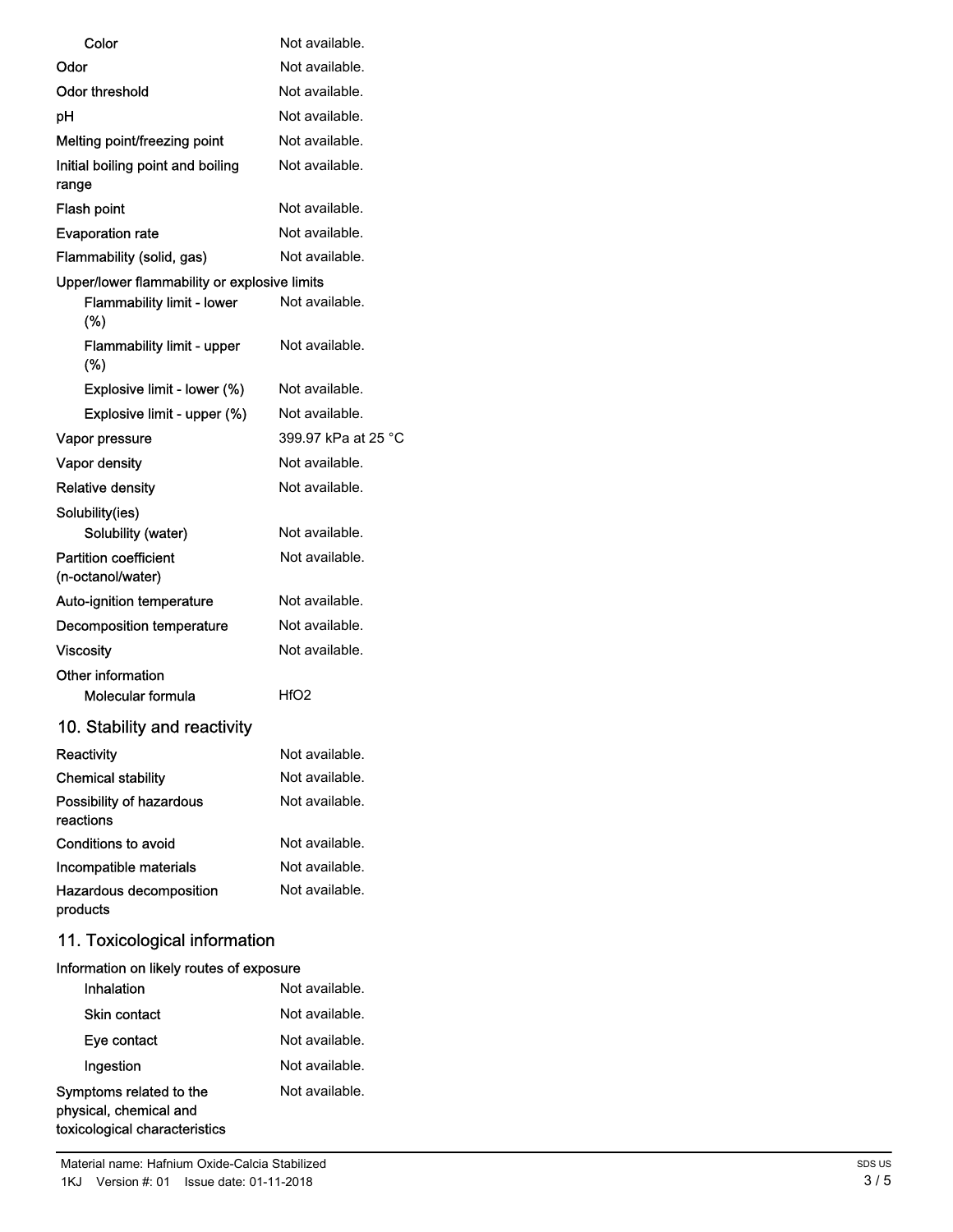| Color                                             | Not available.      |
|---------------------------------------------------|---------------------|
| Odor                                              | Not available.      |
| Odor threshold                                    | Not available.      |
| рH                                                | Not available.      |
| Melting point/freezing point                      | Not available.      |
| Initial boiling point and boiling<br>range        | Not available.      |
| <b>Flash point</b>                                | Not available.      |
| <b>Evaporation rate</b>                           | Not available.      |
| Flammability (solid, gas)                         | Not available.      |
| Upper/lower flammability or explosive limits      |                     |
| <b>Flammability limit - lower</b><br>$(\%)$       | Not available.      |
| <b>Flammability limit - upper</b><br>(%)          | Not available.      |
| Explosive limit - lower (%)                       | Not available.      |
| Explosive limit - upper (%)                       | Not available.      |
| Vapor pressure                                    | 399.97 kPa at 25 °C |
| <b>Vapor density</b>                              | Not available.      |
| <b>Relative density</b>                           | Not available.      |
| Solubility(ies)<br>Solubility (water)             | Not available.      |
| <b>Partition coefficient</b><br>(n-octanol/water) | Not available.      |
| <b>Auto-ignition temperature</b>                  | Not available.      |
| Decomposition temperature                         | Not available.      |
| Viscosity                                         | Not available.      |
| Other information<br>Molecular formula            | HfO2                |
| 10. Stability and reactivity                      |                     |
| <b>Reactivity</b>                                 | Not available.      |
| <b>Chemical stability</b>                         | Not available.      |
| Possibility of hazardous<br>reactions             | Not available.      |
| Conditions to avoid                               | Not available.      |
| Incompatible materials                            | Not available.      |
| <b>Hazardous decomposition</b><br>products        | Not available.      |
| 11. Toxicological information                     |                     |
| Information on likely routes of exposure          |                     |

| <b>INTERNATIONAL ORIGINAL INC.</b> TO GENERAL CHANGE                               |                |
|------------------------------------------------------------------------------------|----------------|
| Inhalation                                                                         | Not available. |
| <b>Skin contact</b>                                                                | Not available. |
| Eye contact                                                                        | Not available. |
| Ingestion                                                                          | Not available. |
| Symptoms related to the<br>physical, chemical and<br>toxicological characteristics | Not available. |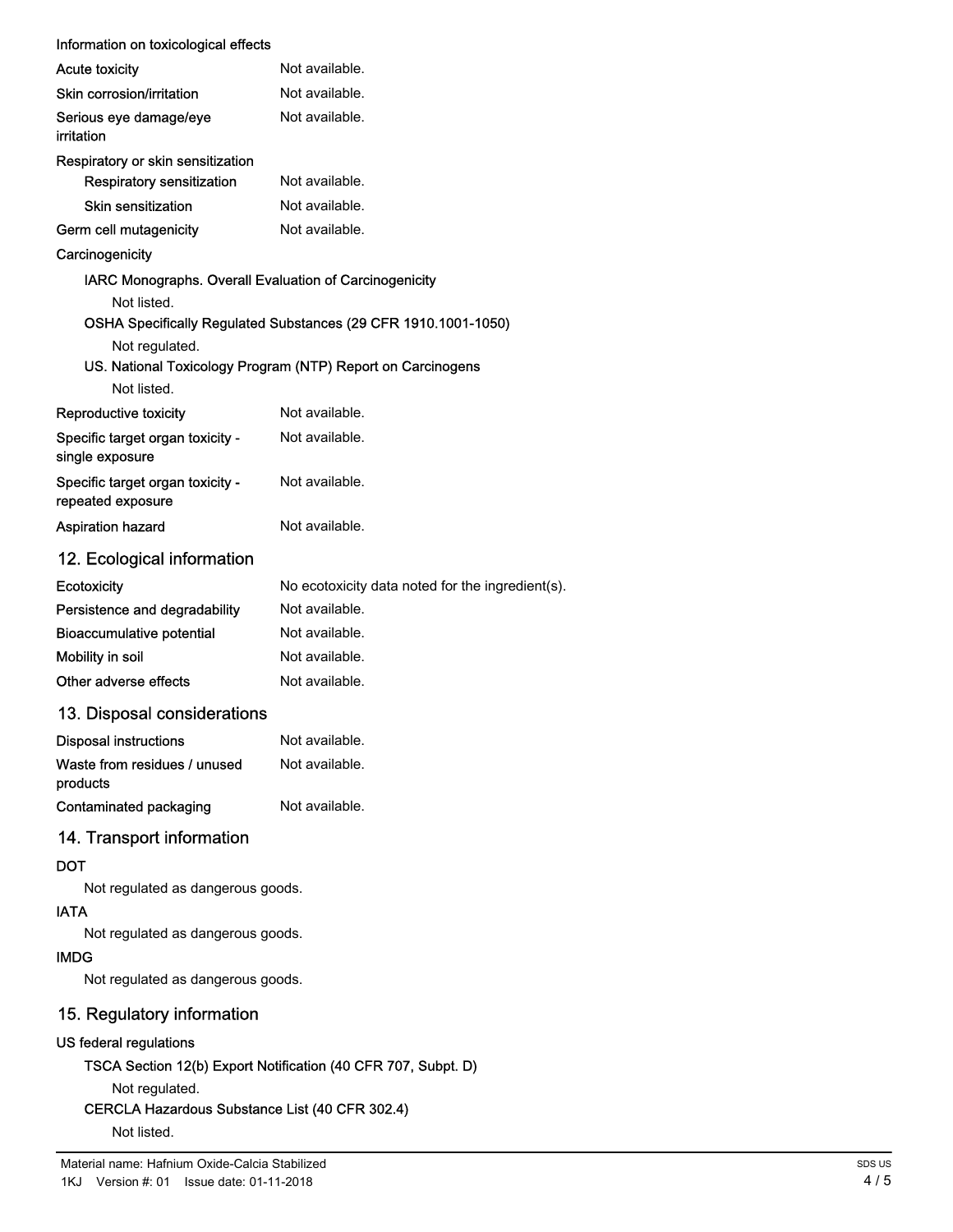| Information on toxicological effects                             |                                                                |  |
|------------------------------------------------------------------|----------------------------------------------------------------|--|
| <b>Acute toxicity</b>                                            | Not available.                                                 |  |
| Skin corrosion/irritation                                        | Not available.                                                 |  |
| Serious eye damage/eye<br>irritation                             | Not available.                                                 |  |
| Respiratory or skin sensitization                                |                                                                |  |
| Respiratory sensitization                                        | Not available.                                                 |  |
| Skin sensitization                                               | Not available.                                                 |  |
| Germ cell mutagenicity                                           | Not available.                                                 |  |
| Carcinogenicity                                                  |                                                                |  |
| IARC Monographs. Overall Evaluation of Carcinogenicity           |                                                                |  |
| Not listed.                                                      |                                                                |  |
|                                                                  | OSHA Specifically Regulated Substances (29 CFR 1910.1001-1050) |  |
| Not regulated.                                                   |                                                                |  |
| Not listed.                                                      | US. National Toxicology Program (NTP) Report on Carcinogens    |  |
| Reproductive toxicity                                            | Not available.                                                 |  |
| Specific target organ toxicity -                                 | Not available.                                                 |  |
| single exposure                                                  |                                                                |  |
| Specific target organ toxicity -<br>repeated exposure            | Not available.                                                 |  |
| Aspiration hazard                                                | Not available.                                                 |  |
| 12. Ecological information                                       |                                                                |  |
| Ecotoxicity                                                      | No ecotoxicity data noted for the ingredient(s).               |  |
| Persistence and degradability                                    | Not available.                                                 |  |
| <b>Bioaccumulative potential</b>                                 | Not available.                                                 |  |
| Mobility in soil                                                 | Not available.                                                 |  |
| Other adverse effects                                            | Not available.                                                 |  |
| 13. Disposal considerations                                      |                                                                |  |
| <b>Disposal instructions</b>                                     | Not available.                                                 |  |
| Waste from residues / unused<br>products                         | Not available.                                                 |  |
| <b>Contaminated packaging</b>                                    | Not available.                                                 |  |
| 14. Transport information                                        |                                                                |  |
| <b>DOT</b>                                                       |                                                                |  |
| Not regulated as dangerous goods.                                |                                                                |  |
| <b>IATA</b>                                                      |                                                                |  |
| Not regulated as dangerous goods.                                |                                                                |  |
| <b>IMDG</b>                                                      |                                                                |  |
| Not regulated as dangerous goods.                                |                                                                |  |
| 15. Regulatory information                                       |                                                                |  |
| US federal regulations                                           |                                                                |  |
|                                                                  | TSCA Section 12(b) Export Notification (40 CFR 707, Subpt. D)  |  |
| Not regulated.<br>CERCLA Hazardous Substance List (40 CFR 302.4) |                                                                |  |
| Not listed.                                                      |                                                                |  |